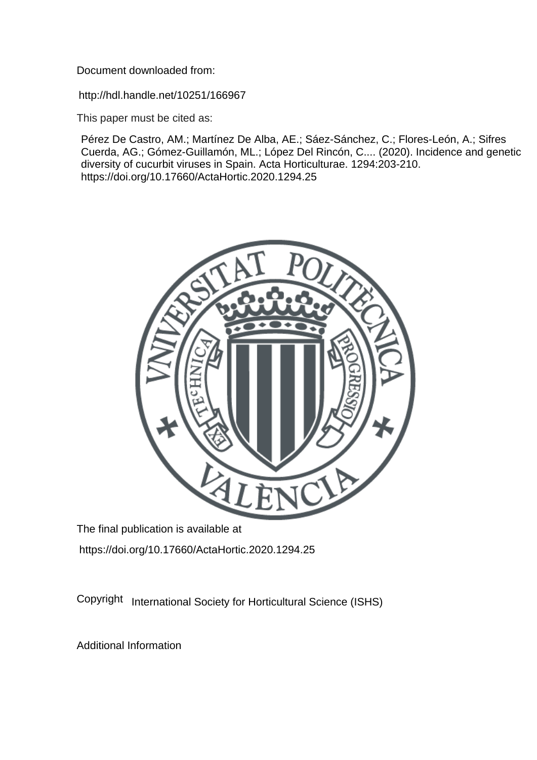Document downloaded from:

http://hdl.handle.net/10251/166967

This paper must be cited as:

Pérez De Castro, AM.; Martínez De Alba, AE.; Sáez-Sánchez, C.; Flores-León, A.; Sifres Cuerda, AG.; Gómez-Guillamón, ML.; López Del Rincón, C.... (2020). Incidence and genetic diversity of cucurbit viruses in Spain. Acta Horticulturae. 1294:203-210. https://doi.org/10.17660/ActaHortic.2020.1294.25



The final publication is available at https://doi.org/10.17660/ActaHortic.2020.1294.25

Copyright International Society for Horticultural Science (ISHS)

Additional Information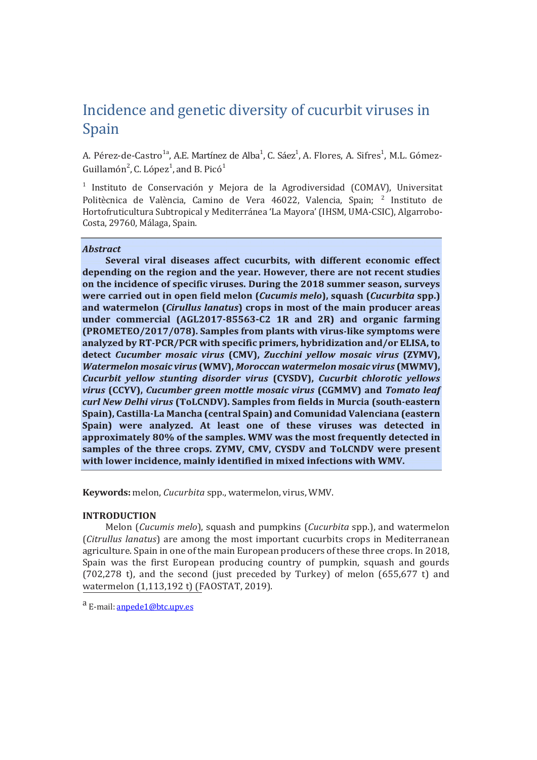# Incidence and genetic diversity of cucurbit viruses in Spain

A. Pérez-de-Castro<sup>1a</sup>, A.E. Martínez de Alba<sup>1</sup>, C. Sáez<sup>1</sup>, A. Flores, A. Sifres<sup>1</sup>, M.L. Gómez-Guillamón<sup>2</sup>, C. López<sup>1</sup>, and B. Picó<sup>1</sup>

<sup>1</sup> Instituto de Conservación y Mejora de la Agrodiversidad (COMAV), Universitat Politècnica de València, Camino de Vera 46022, Valencia, Spain; <sup>2</sup> Instituto de Hortofruticultura Subtropical y Mediterránea 'La Mayora' (IHSM, UMA-CSIC), Algarrobo-Costa, 29760, Málaga, Spain.

## **Abstract**

Several viral diseases affect cucurbits, with different economic effect depending on the region and the year. However, there are not recent studies on the incidence of specific viruses. During the 2018 summer season, surveys were carried out in open field melon (Cucumis melo), squash (Cucurbita spp.) and watermelon (Cirullus lanatus) crops in most of the main producer areas under commercial (AGL2017-85563-C2 1R and 2R) and organic farming (PROMETEO/2017/078). Samples from plants with virus-like symptoms were analyzed by RT-PCR/PCR with specific primers, hybridization and/or ELISA, to detect Cucumber mosaic virus (CMV), Zucchini yellow mosaic virus (ZYMV), Watermelon mosaic virus (WMV), Moroccan watermelon mosaic virus (MWMV), Cucurbit yellow stunting disorder virus (CYSDV), Cucurbit chlorotic yellows virus (CCYV), Cucumber green mottle mosaic virus (CGMMV) and Tomato leaf curl New Delhi virus (ToLCNDV). Samples from fields in Murcia (south-eastern Spain), Castilla-La Mancha (central Spain) and Comunidad Valenciana (eastern Spain) were analyzed. At least one of these viruses was detected in approximately 80% of the samples. WMV was the most frequently detected in samples of the three crops. ZYMV, CMV, CYSDV and ToLCNDV were present with lower incidence, mainly identified in mixed infections with WMV.

**Keywords:** melon, *Cucurbita* spp., watermelon, virus, WMV.

## **INTRODUCTION**

Melon (*Cucumis melo*), squash and pumpkins (*Cucurbita* spp.), and watermelon (*Citrullus lanatus*) are among the most important cucurbits crops in Mediterranean agriculture. Spain in one of the main European producers of these three crops. In 2018, Spain was the first European producing country of pumpkin, squash and gourds (702,278 t), and the second (just preceded by Turkey) of melon (655,677 t) and watermelon (1,113,192 t) (FAOSTAT, 2019).

a E-mail: anpede1@btc.upv.es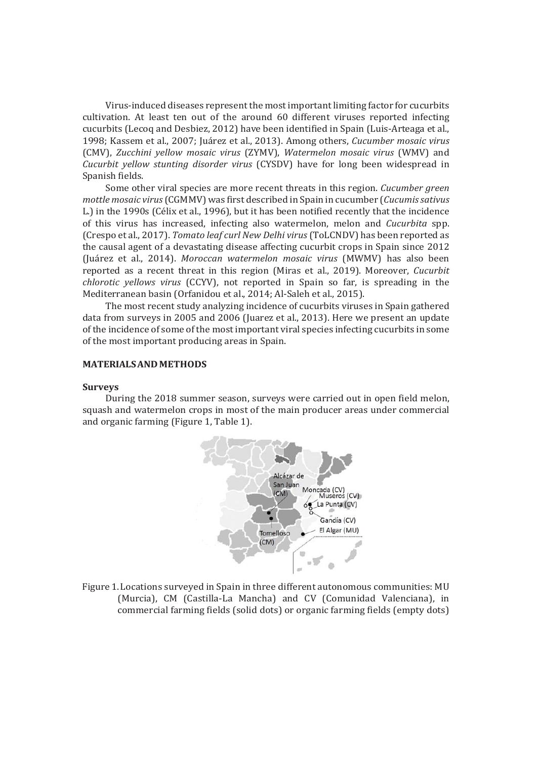Virus-induced diseases represent the most important limiting factor for cucurbits cultivation. At least ten out of the around 60 different viruses reported infecting cucurbits (Lecoq and Desbiez, 2012) have been identified in Spain (Luis-Arteaga et al., 1998; Kassem et al., 2007; Juárez et al., 2013). Among others, *Cucumber mosaic virus* (CMV), *Zucchini yellow mosaic virus* (ZYMV), *Watermelon mosaic virus* (WMV) and *Cucurbit yellow stunting disorder virus* (CYSDV) have for long been widespread in Spanish fields.

Some other viral species are more recent threats in this region. *Cucumber green mottle mosaic virus* (CGMMV) was first described in Spain in cucumber (*Cucumissativus* L.) in the 1990s (Célix et al., 1996), but it has been notified recently that the incidence of this virus has increased, infecting also watermelon, melon and *Cucurbita* spp. (Crespo et al., 2017). *Tomato leaf curl New Delhi virus* (ToLCNDV) has been reported as the causal agent of a devastating disease affecting cucurbit crops in Spain since 2012 (Juárez et al., 2014). *Moroccan watermelon mosaic virus* (MWMV) has also been reported as a recent threat in this region (Miras et al., 2019). Moreover, *Cucurbit chlorotic yellows virus* (CCYV), not reported in Spain so far, is spreading in the Mediterranean basin (Orfanidou et al., 2014; Al-Saleh et al., 2015).

The most recent study analyzing incidence of cucurbits viruses in Spain gathered data from surveys in 2005 and 2006 (Juarez et al., 2013). Here we present an update of the incidence of some of the most important viral species infecting cucurbits in some of the most important producing areas in Spain.

## **MATERIALSANDMETHODS**

#### **Surveys**

During the 2018 summer season, surveys were carried out in open field melon, squash and watermelon crops in most of the main producer areas under commercial and organic farming (Figure 1, Table 1).



Figure 1. Locations surveyed in Spain in three different autonomous communities: MU (Murcia), CM (Castilla-La Mancha) and CV (Comunidad Valenciana), in commercial farming fields (solid dots) or organic farming fields (empty dots)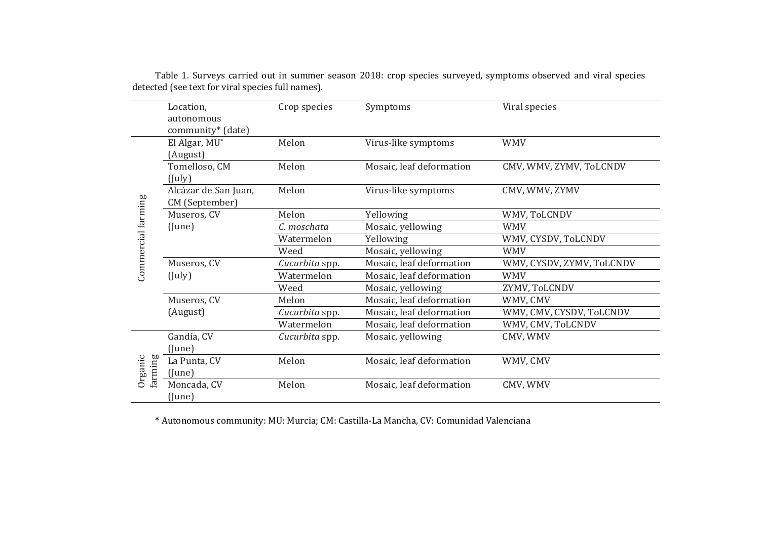|                      |                                                               |                          | Viral species                   |
|----------------------|---------------------------------------------------------------|--------------------------|---------------------------------|
|                      |                                                               |                          |                                 |
|                      |                                                               |                          |                                 |
|                      |                                                               |                          | <b>WMV</b>                      |
| (August)             |                                                               |                          |                                 |
| Tomelloso, CM        | Melon                                                         | Mosaic, leaf deformation | CMV, WMV, ZYMV, ToLCNDV         |
| (July)               |                                                               |                          |                                 |
| Alcázar de San Juan, | Melon                                                         | Virus-like symptoms      | CMV, WMV, ZYMV                  |
| CM (September)       |                                                               |                          |                                 |
| Museros, CV          | Melon                                                         | Yellowing                | WMV, ToLCNDV                    |
| (June)               | C. moschata                                                   | Mosaic, yellowing        | <b>WMV</b>                      |
|                      | Watermelon                                                    | Yellowing                | WMV, CYSDV, ToLCNDV             |
|                      | Weed                                                          | Mosaic, yellowing        | <b>WMV</b>                      |
| Museros, CV          | Cucurbita spp.                                                | Mosaic, leaf deformation | WMV, CYSDV, ZYMV, ToLCNDV       |
| $($ July $)$         | Watermelon                                                    | Mosaic, leaf deformation | <b>WMV</b>                      |
|                      | Weed                                                          | Mosaic, yellowing        | ZYMV, ToLCNDV                   |
| Museros, CV          | Melon                                                         | Mosaic, leaf deformation | WMV, CMV                        |
| (August)             | Cucurbita spp.                                                | Mosaic, leaf deformation | WMV, CMV, CYSDV, ToLCNDV        |
|                      | Watermelon                                                    | Mosaic, leaf deformation | WMV, CMV, ToLCNDV               |
| Gandía, CV           | Cucurbita spp.                                                | Mosaic, yellowing        | CMV, WMV                        |
| (June)               |                                                               |                          |                                 |
| La Punta, CV         | Melon                                                         | Mosaic, leaf deformation | WMV, CMV                        |
| (lune)               |                                                               |                          |                                 |
| Moncada, CV          | Melon                                                         | Mosaic, leaf deformation | CMV, WMV                        |
| (June)               |                                                               |                          |                                 |
|                      | Location,<br>autonomous<br>community* (date)<br>El Algar, MU* | Crop species<br>Melon    | Symptoms<br>Virus-like symptoms |

Table 1. Surveys carried out in summer season 2018: crop species surveyed, symptoms observed and viral species detected (see text for viral species full names).

\* Autonomous community: MU: Murcia; CM: Castilla-La Mancha, CV: Comunidad Valenciana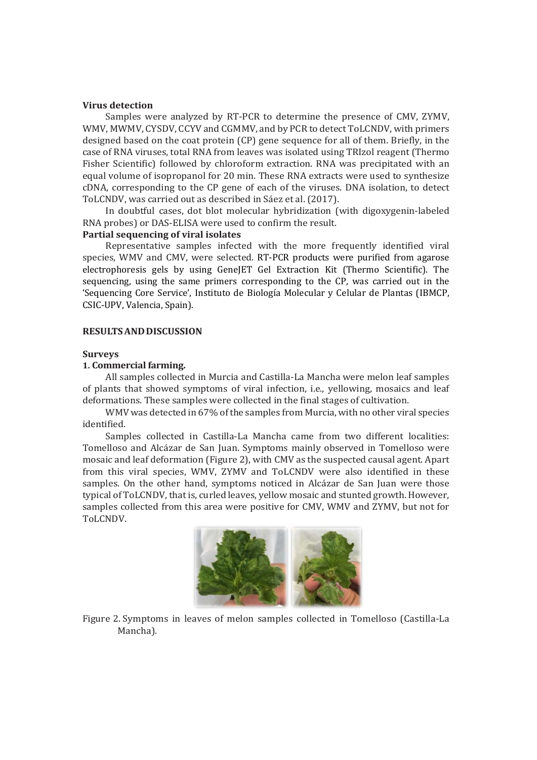### **Virus detection**

Samples were analyzed by RT-PCR to determine the presence of CMV, ZYMV, WMV, MWMV, CYSDV, CCYV and CGMMV, and by PCR to detect ToLCNDV, with primers designed based on the coat protein (CP) gene sequence for all of them. Briefly, in the case of RNA viruses, total RNA from leaves was isolated using TRIzol reagent (Thermo Fisher Scientific) followed by chloroform extraction. RNA was precipitated with an equal volume of isopropanol for 20 min. These RNA extracts were used to synthesize cDNA, corresponding to the CP gene of each of the viruses. DNA isolation, to detect ToLCNDV, was carried out as described in Sáez et al. (2017).

In doubtful cases, dot blot molecular hybridization (with digoxygenin-labeled RNA probes) or DAS-ELISA were used to confirm the result.

## **Partial sequencing of viral isolates**

Representative samples infected with the more frequently identified viral species, WMV and CMV, were selected. RT-PCR products were purified from agarose electrophoresis gels by using GeneJET Gel Extraction Kit (Thermo Scientific). The sequencing, using the same primers corresponding to the CP, was carried out in the 'Sequencing Core Service', Instituto de Biología Molecular y Celular de Plantas (IBMCP, CSIC-UPV, Valencia, Spain).

#### **RESULTSANDDISCUSSION**

## **Surveys**

## **1. Commercial farming.**

All samples collected in Murcia and Castilla-La Mancha were melon leaf samples of plants that showed symptoms of viral infection, i.e., yellowing, mosaics and leaf deformations. These samples were collected in the final stages of cultivation.

WMV was detected in 67% of the samples from Murcia, with no other viral species identified.

Samples collected in Castilla-La Mancha came from two different localities: Tomelloso and Alcázar de San Juan. Symptoms mainly observed in Tomelloso were mosaic and leaf deformation (Figure 2), with CMV as the suspected causal agent. Apart from this viral species, WMV, ZYMV and ToLCNDV were also identified in these samples. On the other hand, symptoms noticed in Alcázar de San Juan were those typical of ToLCNDV, that is, curled leaves, yellow mosaic and stunted growth. However, samples collected from this area were positive for CMV, WMV and ZYMV, but not for ToLCNDV.



Figure 2. Symptoms in leaves of melon samples collected in Tomelloso (Castilla-La Mancha).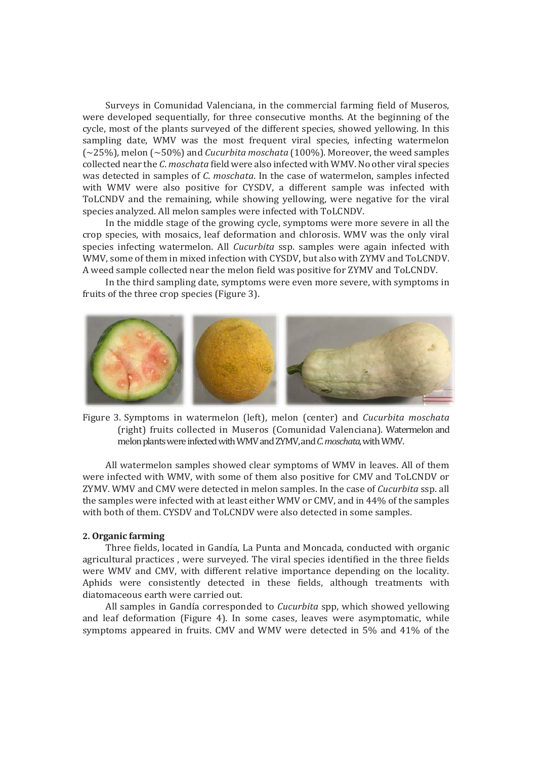Surveys in Comunidad Valenciana, in the commercial farming field of Museros, were developed sequentially, for three consecutive months. At the beginning of the cycle, most of the plants surveyed of the different species, showed yellowing. In this sampling date, WMV was the most frequent viral species, infecting watermelon (~25%), melon (~50%) and *Cucurbita moschata* (100%). Moreover, the weed samples collected near the *C*. *moschata* field were also infected with WMV. No other viral species was detected in samples of *C*. *moschata*. In the case of watermelon, samples infected with WMV were also positive for CYSDV, a different sample was infected with ToLCNDV and the remaining, while showing yellowing, were negative for the viral species analyzed. All melon samples were infected with ToLCNDV.

In the middle stage of the growing cycle, symptoms were more severe in all the crop species, with mosaics, leaf deformation and chlorosis. WMV was the only viral species infecting watermelon. All *Cucurbita* ssp. samples were again infected with WMV, some of them in mixed infection with CYSDV, but also with ZYMV and ToLCNDV. A weed sample collected near the melon field was positive for ZYMV and ToLCNDV.

In the third sampling date, symptoms were even more severe, with symptoms in fruits of the three crop species (Figure 3).



Figure 3. Symptoms in watermelon (left), melon (center) and *Cucurbita moschata* (right) fruits collected in Museros (Comunidad Valenciana). Watermelon and melon plants were infected with WMV and ZYMV, and *C*. *moschata*, with WMV.

All watermelon samples showed clear symptoms of WMV in leaves. All of them were infected with WMV, with some of them also positive for CMV and ToLCNDV or ZYMV. WMV and CMV were detected in melon samples. In the case of *Cucurbita* ssp. all the samples were infected with at least either WMV or CMV, and in 44% of the samples with both of them. CYSDV and ToLCNDV were also detected in some samples.

#### **2. Organic farming**

Three fields, located in Gandía, La Punta and Moncada, conducted with organic agricultural practices , were surveyed. The viral species identified in the three fields were WMV and CMV, with different relative importance depending on the locality. Aphids were consistently detected in these fields, although treatments with diatomaceous earth were carried out.

All samples in Gandía corresponded to *Cucurbita* spp, which showed yellowing and leaf deformation (Figure 4). In some cases, leaves were asymptomatic, while symptoms appeared in fruits. CMV and WMV were detected in 5% and 41% of the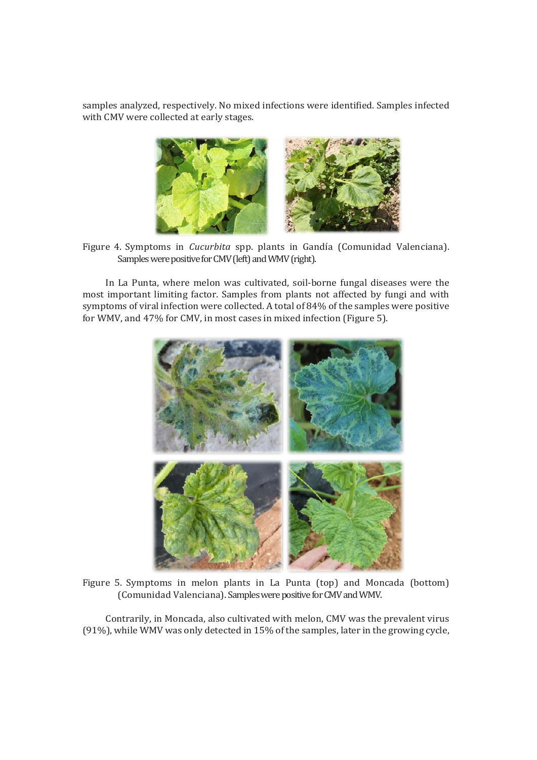samples analyzed, respectively. No mixed infections were identified. Samples infected with CMV were collected at early stages.



Figure 4. Symptoms in *Cucurbita* spp. plants in Gandía (Comunidad Valenciana). Samples were positive for CMV (left) and WMV (right).

In La Punta, where melon was cultivated, soil-borne fungal diseases were the most important limiting factor. Samples from plants not affected by fungi and with symptoms of viral infection were collected. A total of 84% of the samples were positive for WMV, and 47% for CMV, in most cases in mixed infection (Figure 5).



Figure 5. Symptoms in melon plants in La Punta (top) and Moncada (bottom) (Comunidad Valenciana). Samples were positive for CMV and WMV.

Contrarily, in Moncada, also cultivated with melon, CMV was the prevalent virus (91%), while WMV was only detected in 15% of the samples, later in the growing cycle,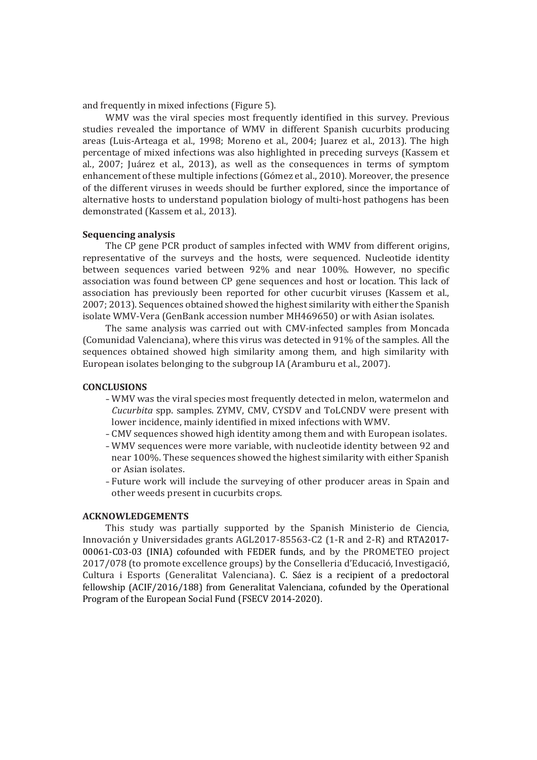and frequently in mixed infections (Figure 5).

WMV was the viral species most frequently identified in this survey. Previous studies revealed the importance of WMV in different Spanish cucurbits producing areas (Luis-Arteaga et al., 1998; Moreno et al., 2004; Juarez et al., 2013). The high percentage of mixed infections was also highlighted in preceding surveys (Kassem et al., 2007; Juárez et al., 2013), as well as the consequences in terms of symptom enhancement of these multiple infections (Gómez et al., 2010). Moreover, the presence of the different viruses in weeds should be further explored, since the importance of alternative hosts to understand population biology of multi-host pathogens has been demonstrated (Kassem et al., 2013).

## **Sequencing analysis**

The CP gene PCR product of samples infected with WMV from different origins, representative of the surveys and the hosts, were sequenced. Nucleotide identity between sequences varied between 92% and near 100%. However, no specific association was found between CP gene sequences and host or location. This lack of association has previously been reported for other cucurbit viruses (Kassem et al., 2007; 2013). Sequences obtained showed the highest similarity with either the Spanish isolate WMV-Vera (GenBank accession number MH469650) or with Asian isolates.

The same analysis was carried out with CMV-infected samples from Moncada (Comunidad Valenciana), where this virus was detected in 91% of the samples. All the sequences obtained showed high similarity among them, and high similarity with European isolates belonging to the subgroup IA (Aramburu et al., 2007).

#### **CONCLUSIONS**

- -WMV was the viral species most frequently detected in melon, watermelon and *Cucurbita* spp. samples. ZYMV, CMV, CYSDV and ToLCNDV were present with lower incidence, mainly identified in mixed infections with WMV.
- -CMV sequences showed high identity among them and with European isolates.
- -WMV sequences were more variable, with nucleotide identity between 92 and near 100%. These sequences showed the highest similarity with either Spanish or Asian isolates.
- -Future work will include the surveying of other producer areas in Spain and other weeds present in cucurbits crops.

#### **ACKNOWLEDGEMENTS**

This study was partially supported by the Spanish Ministerio de Ciencia, Innovación y Universidades grants AGL2017-85563-C2 (1-R and 2-R) and RTA2017- 00061-C03-03 (INIA) cofounded with FEDER funds, and by the PROMETEO project 2017/078 (to promote excellence groups) by the Conselleria d'Educació, Investigació, Cultura i Esports (Generalitat Valenciana). C. Sáez is a recipient of a predoctoral fellowship (ACIF/2016/188) from Generalitat Valenciana, cofunded by the Operational Program of the European Social Fund (FSECV 2014-2020).